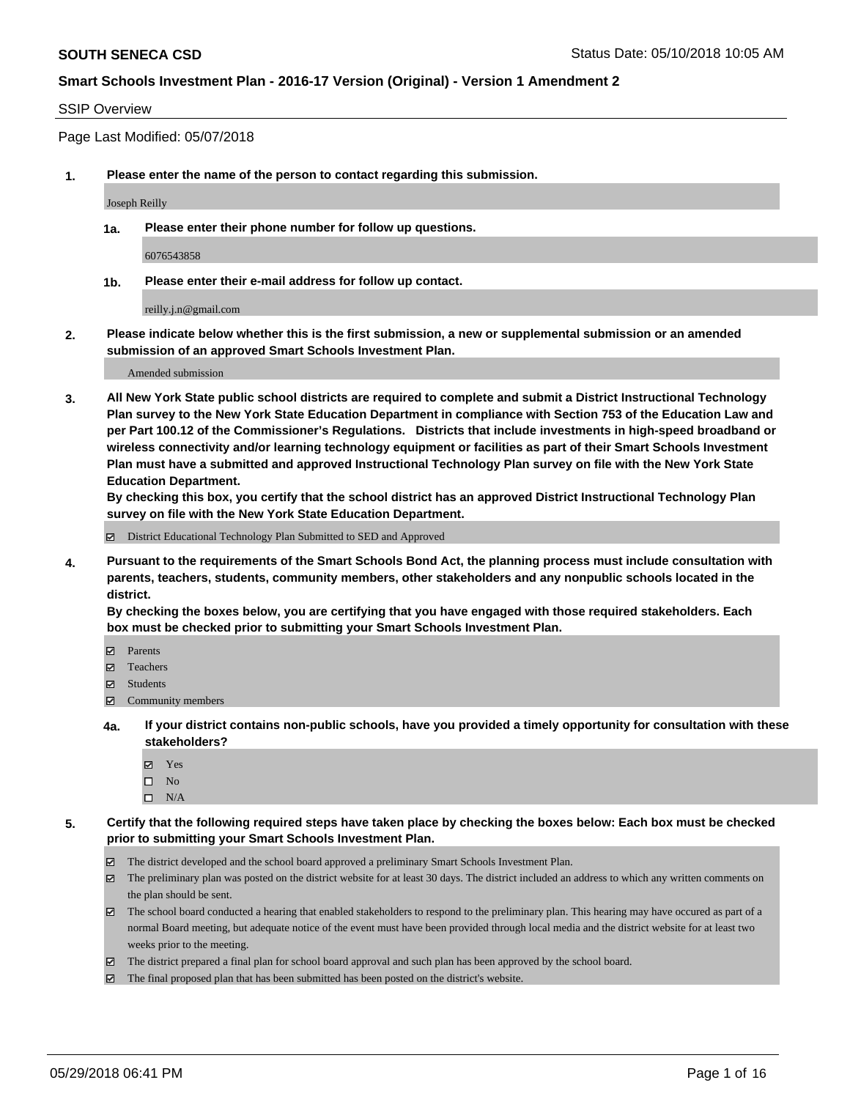### SSIP Overview

Page Last Modified: 05/07/2018

**1. Please enter the name of the person to contact regarding this submission.**

Joseph Reilly

**1a. Please enter their phone number for follow up questions.**

6076543858

**1b. Please enter their e-mail address for follow up contact.**

reilly.j.n@gmail.com

**2. Please indicate below whether this is the first submission, a new or supplemental submission or an amended submission of an approved Smart Schools Investment Plan.**

Amended submission

**3. All New York State public school districts are required to complete and submit a District Instructional Technology Plan survey to the New York State Education Department in compliance with Section 753 of the Education Law and per Part 100.12 of the Commissioner's Regulations. Districts that include investments in high-speed broadband or wireless connectivity and/or learning technology equipment or facilities as part of their Smart Schools Investment Plan must have a submitted and approved Instructional Technology Plan survey on file with the New York State Education Department.** 

**By checking this box, you certify that the school district has an approved District Instructional Technology Plan survey on file with the New York State Education Department.**

District Educational Technology Plan Submitted to SED and Approved

**4. Pursuant to the requirements of the Smart Schools Bond Act, the planning process must include consultation with parents, teachers, students, community members, other stakeholders and any nonpublic schools located in the district.** 

**By checking the boxes below, you are certifying that you have engaged with those required stakeholders. Each box must be checked prior to submitting your Smart Schools Investment Plan.**

- Parents
- Teachers
- Students
- Community members
- **4a. If your district contains non-public schools, have you provided a timely opportunity for consultation with these stakeholders?**
	- Yes
	- $\square$  No
	- $\square$  N/A
- **5. Certify that the following required steps have taken place by checking the boxes below: Each box must be checked prior to submitting your Smart Schools Investment Plan.**
	- The district developed and the school board approved a preliminary Smart Schools Investment Plan.
	- $\boxtimes$  The preliminary plan was posted on the district website for at least 30 days. The district included an address to which any written comments on the plan should be sent.
	- $\boxtimes$  The school board conducted a hearing that enabled stakeholders to respond to the preliminary plan. This hearing may have occured as part of a normal Board meeting, but adequate notice of the event must have been provided through local media and the district website for at least two weeks prior to the meeting.
	- The district prepared a final plan for school board approval and such plan has been approved by the school board.
	- $\boxtimes$  The final proposed plan that has been submitted has been posted on the district's website.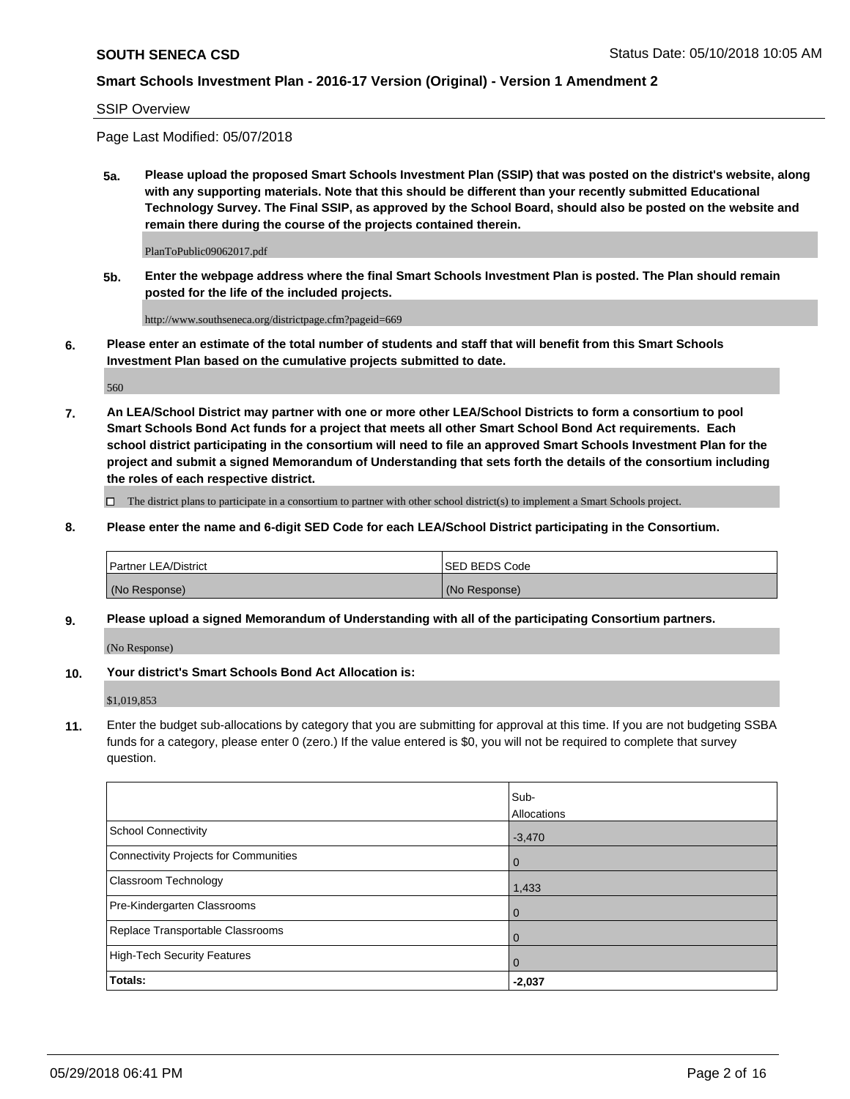#### SSIP Overview

Page Last Modified: 05/07/2018

**5a. Please upload the proposed Smart Schools Investment Plan (SSIP) that was posted on the district's website, along with any supporting materials. Note that this should be different than your recently submitted Educational Technology Survey. The Final SSIP, as approved by the School Board, should also be posted on the website and remain there during the course of the projects contained therein.**

PlanToPublic09062017.pdf

**5b. Enter the webpage address where the final Smart Schools Investment Plan is posted. The Plan should remain posted for the life of the included projects.**

http://www.southseneca.org/districtpage.cfm?pageid=669

**6. Please enter an estimate of the total number of students and staff that will benefit from this Smart Schools Investment Plan based on the cumulative projects submitted to date.**

560

**7. An LEA/School District may partner with one or more other LEA/School Districts to form a consortium to pool Smart Schools Bond Act funds for a project that meets all other Smart School Bond Act requirements. Each school district participating in the consortium will need to file an approved Smart Schools Investment Plan for the project and submit a signed Memorandum of Understanding that sets forth the details of the consortium including the roles of each respective district.**

 $\Box$  The district plans to participate in a consortium to partner with other school district(s) to implement a Smart Schools project.

**8. Please enter the name and 6-digit SED Code for each LEA/School District participating in the Consortium.**

| <b>Partner LEA/District</b> | <b>ISED BEDS Code</b> |
|-----------------------------|-----------------------|
| (No Response)               | (No Response)         |

#### **9. Please upload a signed Memorandum of Understanding with all of the participating Consortium partners.**

(No Response)

**10. Your district's Smart Schools Bond Act Allocation is:**

\$1,019,853

**11.** Enter the budget sub-allocations by category that you are submitting for approval at this time. If you are not budgeting SSBA funds for a category, please enter 0 (zero.) If the value entered is \$0, you will not be required to complete that survey question.

|                                       | Sub-<br>Allocations |
|---------------------------------------|---------------------|
| <b>School Connectivity</b>            | $-3,470$            |
| Connectivity Projects for Communities | $\overline{0}$      |
| Classroom Technology                  | 1,433               |
| Pre-Kindergarten Classrooms           | $\overline{0}$      |
| Replace Transportable Classrooms      | 0                   |
| <b>High-Tech Security Features</b>    | 0                   |
| Totals:                               | $-2,037$            |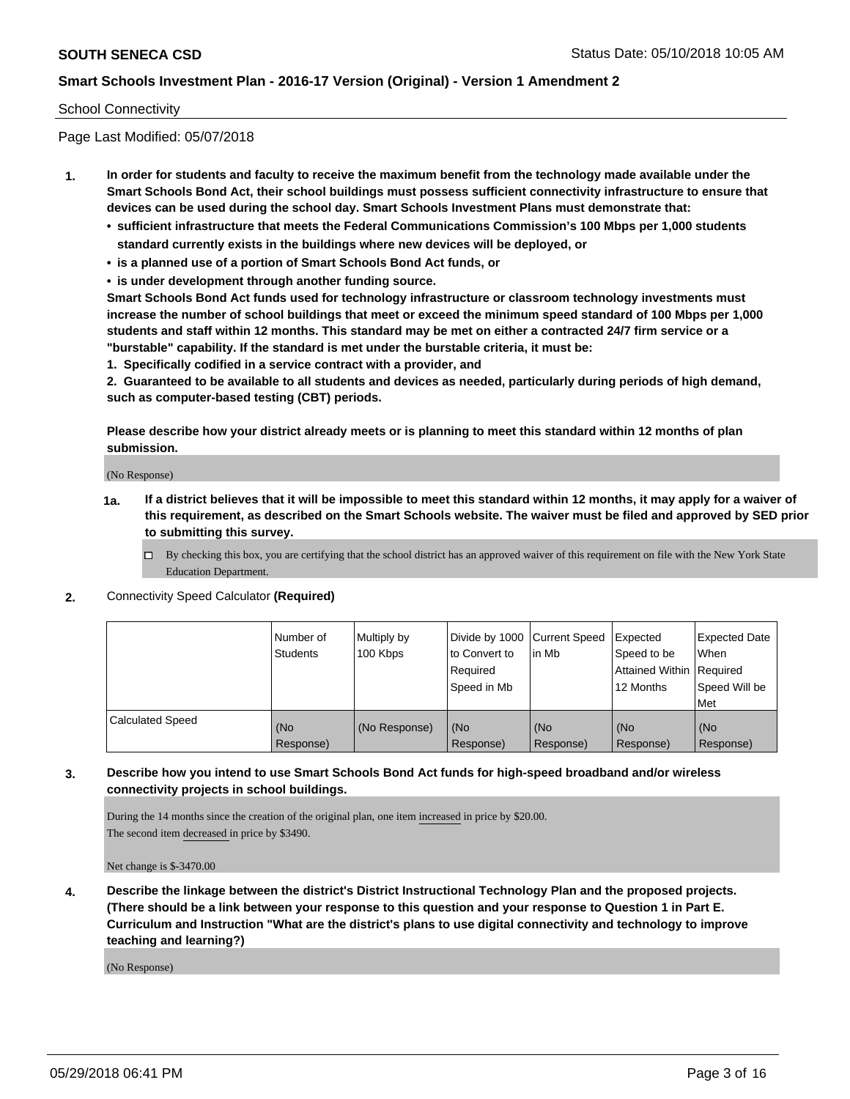### School Connectivity

Page Last Modified: 05/07/2018

- **1. In order for students and faculty to receive the maximum benefit from the technology made available under the Smart Schools Bond Act, their school buildings must possess sufficient connectivity infrastructure to ensure that devices can be used during the school day. Smart Schools Investment Plans must demonstrate that:**
	- **• sufficient infrastructure that meets the Federal Communications Commission's 100 Mbps per 1,000 students standard currently exists in the buildings where new devices will be deployed, or**
	- **• is a planned use of a portion of Smart Schools Bond Act funds, or**
	- **• is under development through another funding source.**

**Smart Schools Bond Act funds used for technology infrastructure or classroom technology investments must increase the number of school buildings that meet or exceed the minimum speed standard of 100 Mbps per 1,000 students and staff within 12 months. This standard may be met on either a contracted 24/7 firm service or a "burstable" capability. If the standard is met under the burstable criteria, it must be:**

**1. Specifically codified in a service contract with a provider, and**

**2. Guaranteed to be available to all students and devices as needed, particularly during periods of high demand, such as computer-based testing (CBT) periods.**

**Please describe how your district already meets or is planning to meet this standard within 12 months of plan submission.**

(No Response)

- **1a. If a district believes that it will be impossible to meet this standard within 12 months, it may apply for a waiver of this requirement, as described on the Smart Schools website. The waiver must be filed and approved by SED prior to submitting this survey.**
	- By checking this box, you are certifying that the school district has an approved waiver of this requirement on file with the New York State Education Department.
- **2.** Connectivity Speed Calculator **(Required)**

|                         | Number of<br><b>Students</b> | Multiply by<br>100 Kbps | Divide by 1000 Current Speed<br>to Convert to<br>Required<br>Speed in Mb | lin Mb           | Expected<br>Speed to be<br>Attained Within Required<br>12 Months | <b>Expected Date</b><br>When<br>Speed Will be<br>Met |
|-------------------------|------------------------------|-------------------------|--------------------------------------------------------------------------|------------------|------------------------------------------------------------------|------------------------------------------------------|
| <b>Calculated Speed</b> | (No<br>Response)             | (No Response)           | (No<br>Response)                                                         | (No<br>Response) | (No<br>Response)                                                 | l (No<br>Response)                                   |

## **3. Describe how you intend to use Smart Schools Bond Act funds for high-speed broadband and/or wireless connectivity projects in school buildings.**

During the 14 months since the creation of the original plan, one item increased in price by \$20.00. The second item decreased in price by \$3490.

Net change is \$-3470.00

**4. Describe the linkage between the district's District Instructional Technology Plan and the proposed projects. (There should be a link between your response to this question and your response to Question 1 in Part E. Curriculum and Instruction "What are the district's plans to use digital connectivity and technology to improve teaching and learning?)**

(No Response)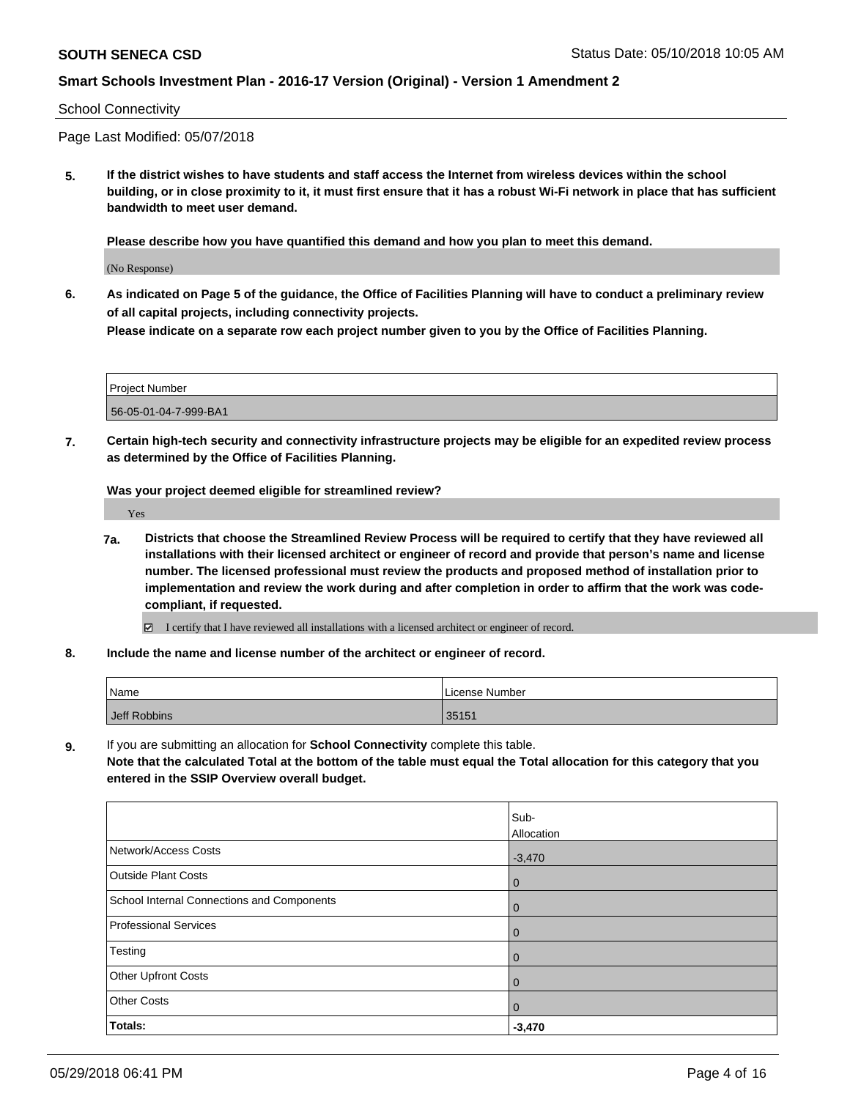#### School Connectivity

Page Last Modified: 05/07/2018

**5. If the district wishes to have students and staff access the Internet from wireless devices within the school building, or in close proximity to it, it must first ensure that it has a robust Wi-Fi network in place that has sufficient bandwidth to meet user demand.**

**Please describe how you have quantified this demand and how you plan to meet this demand.**

(No Response)

**6. As indicated on Page 5 of the guidance, the Office of Facilities Planning will have to conduct a preliminary review of all capital projects, including connectivity projects.**

**Please indicate on a separate row each project number given to you by the Office of Facilities Planning.**

| Project Number        |  |
|-----------------------|--|
| 56-05-01-04-7-999-BA1 |  |

**7. Certain high-tech security and connectivity infrastructure projects may be eligible for an expedited review process as determined by the Office of Facilities Planning.**

**Was your project deemed eligible for streamlined review?**

Yes

**7a. Districts that choose the Streamlined Review Process will be required to certify that they have reviewed all installations with their licensed architect or engineer of record and provide that person's name and license number. The licensed professional must review the products and proposed method of installation prior to implementation and review the work during and after completion in order to affirm that the work was codecompliant, if requested.**

I certify that I have reviewed all installations with a licensed architect or engineer of record.

**8. Include the name and license number of the architect or engineer of record.**

| Name         | License Number |
|--------------|----------------|
| Jeff Robbins | 35151          |

**9.** If you are submitting an allocation for **School Connectivity** complete this table.

**Note that the calculated Total at the bottom of the table must equal the Total allocation for this category that you entered in the SSIP Overview overall budget.** 

|                                            | Sub-<br>Allocation |
|--------------------------------------------|--------------------|
| Network/Access Costs                       | $-3,470$           |
| <b>Outside Plant Costs</b>                 | $\overline{0}$     |
| School Internal Connections and Components | $\mathbf 0$        |
| <b>Professional Services</b>               | $\mathbf 0$        |
| Testing                                    | $\mathbf 0$        |
| Other Upfront Costs                        | $\mathbf 0$        |
| <b>Other Costs</b>                         | $\mathbf 0$        |
| Totals:                                    | $-3,470$           |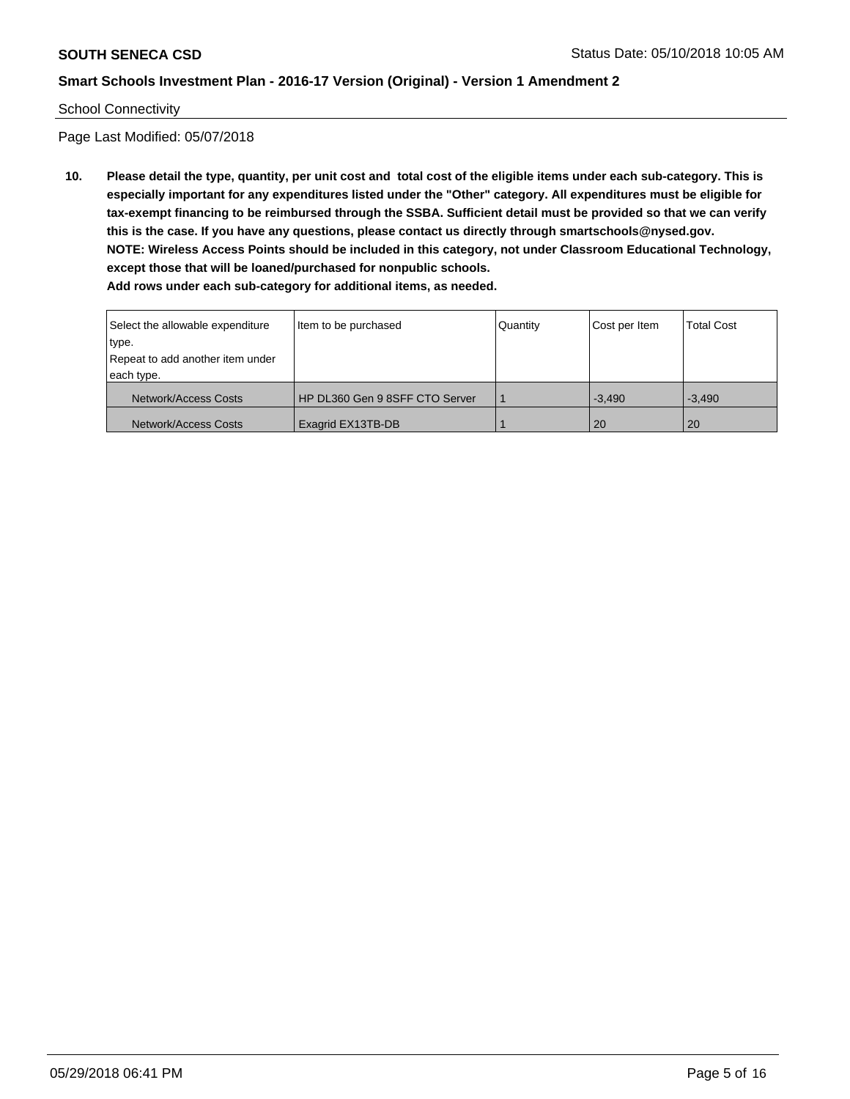#### School Connectivity

Page Last Modified: 05/07/2018

**10. Please detail the type, quantity, per unit cost and total cost of the eligible items under each sub-category. This is especially important for any expenditures listed under the "Other" category. All expenditures must be eligible for tax-exempt financing to be reimbursed through the SSBA. Sufficient detail must be provided so that we can verify this is the case. If you have any questions, please contact us directly through smartschools@nysed.gov. NOTE: Wireless Access Points should be included in this category, not under Classroom Educational Technology, except those that will be loaned/purchased for nonpublic schools. Add rows under each sub-category for additional items, as needed.**

| Select the allowable expenditure<br>type.<br>Repeat to add another item under<br>each type. | Item to be purchased           | Quantity | Cost per Item | <b>Total Cost</b> |
|---------------------------------------------------------------------------------------------|--------------------------------|----------|---------------|-------------------|
| Network/Access Costs                                                                        | HP DL360 Gen 9 8SFF CTO Server |          | $-3.490$      | $-3.490$          |
| Network/Access Costs                                                                        | Exagrid EX13TB-DB              |          | <b>20</b>     | <b>20</b>         |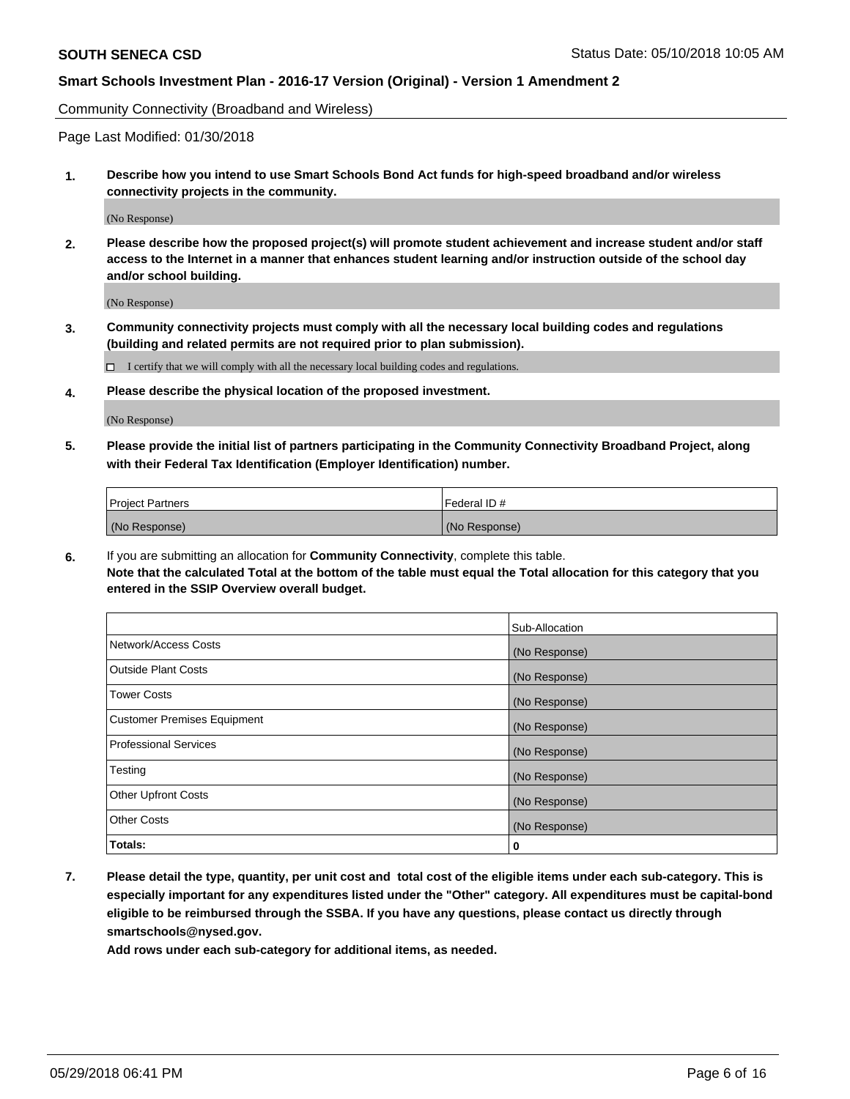Community Connectivity (Broadband and Wireless)

Page Last Modified: 01/30/2018

**1. Describe how you intend to use Smart Schools Bond Act funds for high-speed broadband and/or wireless connectivity projects in the community.**

(No Response)

**2. Please describe how the proposed project(s) will promote student achievement and increase student and/or staff access to the Internet in a manner that enhances student learning and/or instruction outside of the school day and/or school building.**

(No Response)

**3. Community connectivity projects must comply with all the necessary local building codes and regulations (building and related permits are not required prior to plan submission).**

 $\Box$  I certify that we will comply with all the necessary local building codes and regulations.

**4. Please describe the physical location of the proposed investment.**

(No Response)

**5. Please provide the initial list of partners participating in the Community Connectivity Broadband Project, along with their Federal Tax Identification (Employer Identification) number.**

| <b>Project Partners</b> | l Federal ID # |
|-------------------------|----------------|
| (No Response)           | (No Response)  |

**6.** If you are submitting an allocation for **Community Connectivity**, complete this table. **Note that the calculated Total at the bottom of the table must equal the Total allocation for this category that you entered in the SSIP Overview overall budget.**

|                                    | Sub-Allocation |
|------------------------------------|----------------|
| Network/Access Costs               | (No Response)  |
| Outside Plant Costs                | (No Response)  |
| <b>Tower Costs</b>                 | (No Response)  |
| <b>Customer Premises Equipment</b> | (No Response)  |
| Professional Services              | (No Response)  |
| Testing                            | (No Response)  |
| <b>Other Upfront Costs</b>         | (No Response)  |
| <b>Other Costs</b>                 | (No Response)  |
| Totals:                            | 0              |

**7. Please detail the type, quantity, per unit cost and total cost of the eligible items under each sub-category. This is especially important for any expenditures listed under the "Other" category. All expenditures must be capital-bond eligible to be reimbursed through the SSBA. If you have any questions, please contact us directly through smartschools@nysed.gov.**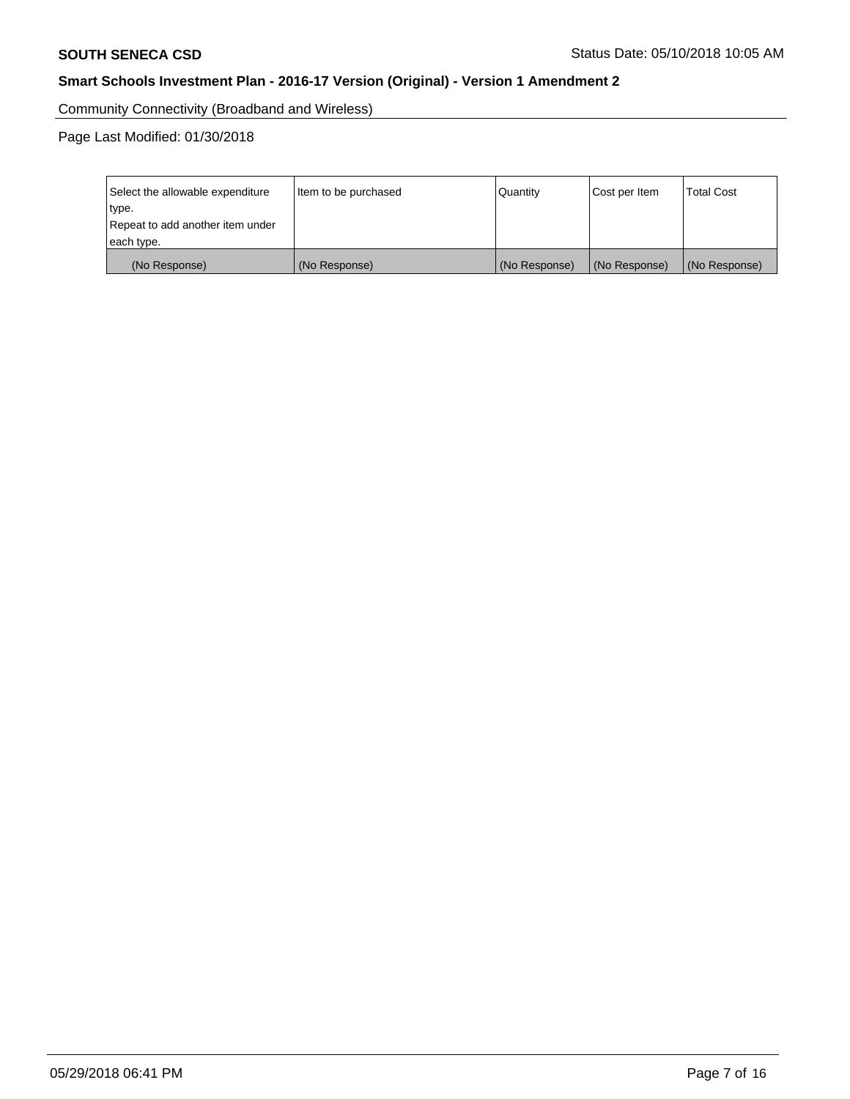Community Connectivity (Broadband and Wireless)

Page Last Modified: 01/30/2018

| Select the allowable expenditure<br>type.<br>Repeat to add another item under<br>each type. | Item to be purchased | Quantity      | Cost per Item | <b>Total Cost</b> |
|---------------------------------------------------------------------------------------------|----------------------|---------------|---------------|-------------------|
| (No Response)                                                                               | (No Response)        | (No Response) | (No Response) | (No Response)     |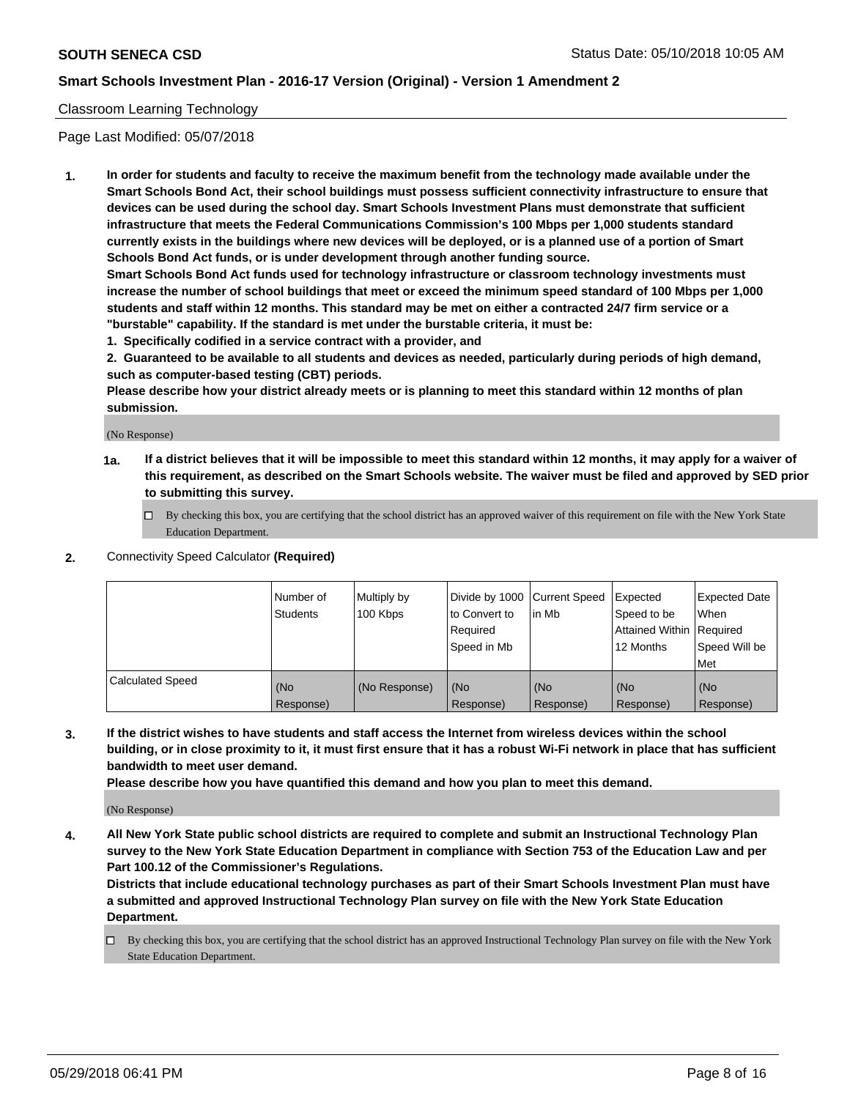## Classroom Learning Technology

Page Last Modified: 05/07/2018

**1. In order for students and faculty to receive the maximum benefit from the technology made available under the Smart Schools Bond Act, their school buildings must possess sufficient connectivity infrastructure to ensure that devices can be used during the school day. Smart Schools Investment Plans must demonstrate that sufficient infrastructure that meets the Federal Communications Commission's 100 Mbps per 1,000 students standard currently exists in the buildings where new devices will be deployed, or is a planned use of a portion of Smart Schools Bond Act funds, or is under development through another funding source.**

**Smart Schools Bond Act funds used for technology infrastructure or classroom technology investments must increase the number of school buildings that meet or exceed the minimum speed standard of 100 Mbps per 1,000 students and staff within 12 months. This standard may be met on either a contracted 24/7 firm service or a "burstable" capability. If the standard is met under the burstable criteria, it must be:**

**1. Specifically codified in a service contract with a provider, and**

**2. Guaranteed to be available to all students and devices as needed, particularly during periods of high demand, such as computer-based testing (CBT) periods.**

**Please describe how your district already meets or is planning to meet this standard within 12 months of plan submission.**

(No Response)

- **1a. If a district believes that it will be impossible to meet this standard within 12 months, it may apply for a waiver of this requirement, as described on the Smart Schools website. The waiver must be filed and approved by SED prior to submitting this survey.**
	- By checking this box, you are certifying that the school district has an approved waiver of this requirement on file with the New York State Education Department.
- **2.** Connectivity Speed Calculator **(Required)**

|                         | Number of<br><b>Students</b> | Multiply by<br>100 Kbps | Divide by 1000 Current Speed<br>to Convert to<br>Required<br>Speed in Mb | l in Mb          | Expected<br>Speed to be<br>Attained Within Required<br>12 Months | Expected Date<br>When<br>Speed Will be<br>Met |
|-------------------------|------------------------------|-------------------------|--------------------------------------------------------------------------|------------------|------------------------------------------------------------------|-----------------------------------------------|
| <b>Calculated Speed</b> | (No<br>Response)             | (No Response)           | (No<br>Response)                                                         | (No<br>Response) | (No<br>Response)                                                 | (No<br>Response)                              |

**3. If the district wishes to have students and staff access the Internet from wireless devices within the school building, or in close proximity to it, it must first ensure that it has a robust Wi-Fi network in place that has sufficient bandwidth to meet user demand.**

**Please describe how you have quantified this demand and how you plan to meet this demand.**

(No Response)

**4. All New York State public school districts are required to complete and submit an Instructional Technology Plan survey to the New York State Education Department in compliance with Section 753 of the Education Law and per Part 100.12 of the Commissioner's Regulations.**

**Districts that include educational technology purchases as part of their Smart Schools Investment Plan must have a submitted and approved Instructional Technology Plan survey on file with the New York State Education Department.**

By checking this box, you are certifying that the school district has an approved Instructional Technology Plan survey on file with the New York State Education Department.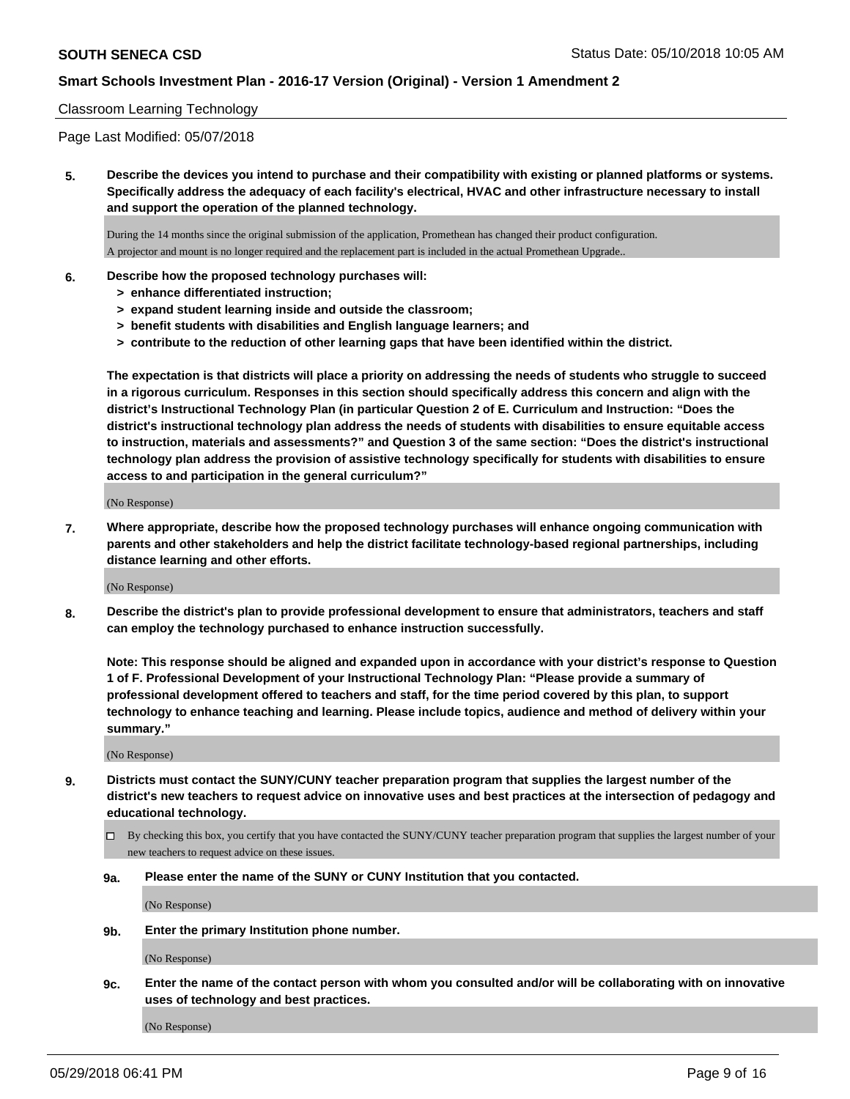### Classroom Learning Technology

Page Last Modified: 05/07/2018

**5. Describe the devices you intend to purchase and their compatibility with existing or planned platforms or systems. Specifically address the adequacy of each facility's electrical, HVAC and other infrastructure necessary to install and support the operation of the planned technology.**

During the 14 months since the original submission of the application, Promethean has changed their product configuration. A projector and mount is no longer required and the replacement part is included in the actual Promethean Upgrade..

#### **6. Describe how the proposed technology purchases will:**

- **> enhance differentiated instruction;**
- **> expand student learning inside and outside the classroom;**
- **> benefit students with disabilities and English language learners; and**
- **> contribute to the reduction of other learning gaps that have been identified within the district.**

**The expectation is that districts will place a priority on addressing the needs of students who struggle to succeed in a rigorous curriculum. Responses in this section should specifically address this concern and align with the district's Instructional Technology Plan (in particular Question 2 of E. Curriculum and Instruction: "Does the district's instructional technology plan address the needs of students with disabilities to ensure equitable access to instruction, materials and assessments?" and Question 3 of the same section: "Does the district's instructional technology plan address the provision of assistive technology specifically for students with disabilities to ensure access to and participation in the general curriculum?"**

(No Response)

**7. Where appropriate, describe how the proposed technology purchases will enhance ongoing communication with parents and other stakeholders and help the district facilitate technology-based regional partnerships, including distance learning and other efforts.**

(No Response)

**8. Describe the district's plan to provide professional development to ensure that administrators, teachers and staff can employ the technology purchased to enhance instruction successfully.**

**Note: This response should be aligned and expanded upon in accordance with your district's response to Question 1 of F. Professional Development of your Instructional Technology Plan: "Please provide a summary of professional development offered to teachers and staff, for the time period covered by this plan, to support technology to enhance teaching and learning. Please include topics, audience and method of delivery within your summary."**

(No Response)

- **9. Districts must contact the SUNY/CUNY teacher preparation program that supplies the largest number of the district's new teachers to request advice on innovative uses and best practices at the intersection of pedagogy and educational technology.**
	- By checking this box, you certify that you have contacted the SUNY/CUNY teacher preparation program that supplies the largest number of your new teachers to request advice on these issues.
	- **9a. Please enter the name of the SUNY or CUNY Institution that you contacted.**

(No Response)

**9b. Enter the primary Institution phone number.**

(No Response)

**9c. Enter the name of the contact person with whom you consulted and/or will be collaborating with on innovative uses of technology and best practices.**

(No Response)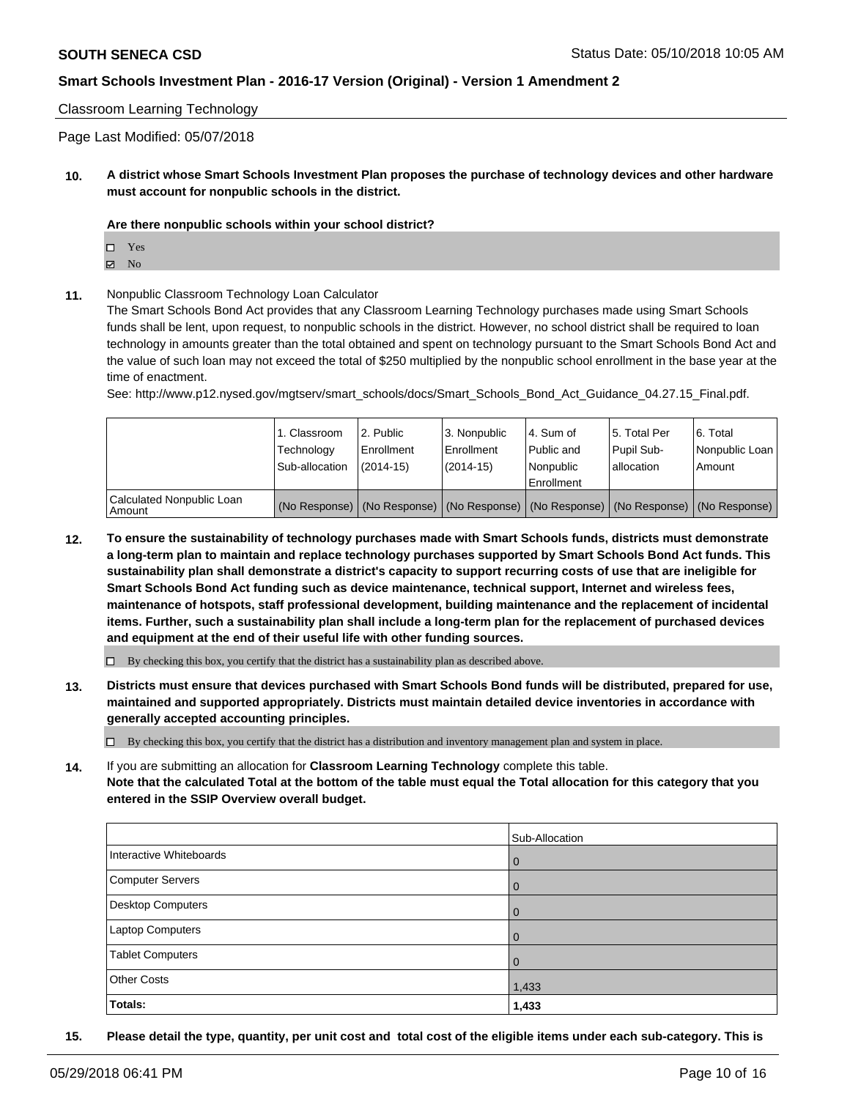#### Classroom Learning Technology

Page Last Modified: 05/07/2018

**10. A district whose Smart Schools Investment Plan proposes the purchase of technology devices and other hardware must account for nonpublic schools in the district.**

#### **Are there nonpublic schools within your school district?**

Yes

- $\boxtimes$  No
- **11.** Nonpublic Classroom Technology Loan Calculator

The Smart Schools Bond Act provides that any Classroom Learning Technology purchases made using Smart Schools funds shall be lent, upon request, to nonpublic schools in the district. However, no school district shall be required to loan technology in amounts greater than the total obtained and spent on technology pursuant to the Smart Schools Bond Act and the value of such loan may not exceed the total of \$250 multiplied by the nonpublic school enrollment in the base year at the time of enactment.

See: http://www.p12.nysed.gov/mgtserv/smart\_schools/docs/Smart\_Schools\_Bond\_Act\_Guidance\_04.27.15\_Final.pdf.

|                                       | 1. Classroom<br>Technology<br>Sub-allocation | l 2. Public<br>l Enrollment<br>$(2014 - 15)$ | 3. Nonpublic<br>l Enrollment<br>(2014-15)                                                     | l 4. Sum of<br>Public and<br>l Nonpublic<br>Enrollment | 15. Total Per<br>Pupil Sub-<br>lallocation | 6. Total<br>Nonpublic Loan<br>Amount |
|---------------------------------------|----------------------------------------------|----------------------------------------------|-----------------------------------------------------------------------------------------------|--------------------------------------------------------|--------------------------------------------|--------------------------------------|
| Calculated Nonpublic Loan<br>l Amount |                                              |                                              | (No Response)   (No Response)   (No Response)   (No Response)   (No Response)   (No Response) |                                                        |                                            |                                      |

**12. To ensure the sustainability of technology purchases made with Smart Schools funds, districts must demonstrate a long-term plan to maintain and replace technology purchases supported by Smart Schools Bond Act funds. This sustainability plan shall demonstrate a district's capacity to support recurring costs of use that are ineligible for Smart Schools Bond Act funding such as device maintenance, technical support, Internet and wireless fees, maintenance of hotspots, staff professional development, building maintenance and the replacement of incidental items. Further, such a sustainability plan shall include a long-term plan for the replacement of purchased devices and equipment at the end of their useful life with other funding sources.**

 $\Box$  By checking this box, you certify that the district has a sustainability plan as described above.

**13. Districts must ensure that devices purchased with Smart Schools Bond funds will be distributed, prepared for use, maintained and supported appropriately. Districts must maintain detailed device inventories in accordance with generally accepted accounting principles.**

By checking this box, you certify that the district has a distribution and inventory management plan and system in place.

**14.** If you are submitting an allocation for **Classroom Learning Technology** complete this table. **Note that the calculated Total at the bottom of the table must equal the Total allocation for this category that you entered in the SSIP Overview overall budget.**

|                         | Sub-Allocation |
|-------------------------|----------------|
| Interactive Whiteboards | $\overline{0}$ |
| Computer Servers        | $\overline{0}$ |
| Desktop Computers       | $\overline{0}$ |
| Laptop Computers        | $\overline{0}$ |
| <b>Tablet Computers</b> | $\overline{0}$ |
| <b>Other Costs</b>      | 1,433          |
| Totals:                 | 1,433          |

**15. Please detail the type, quantity, per unit cost and total cost of the eligible items under each sub-category. This is**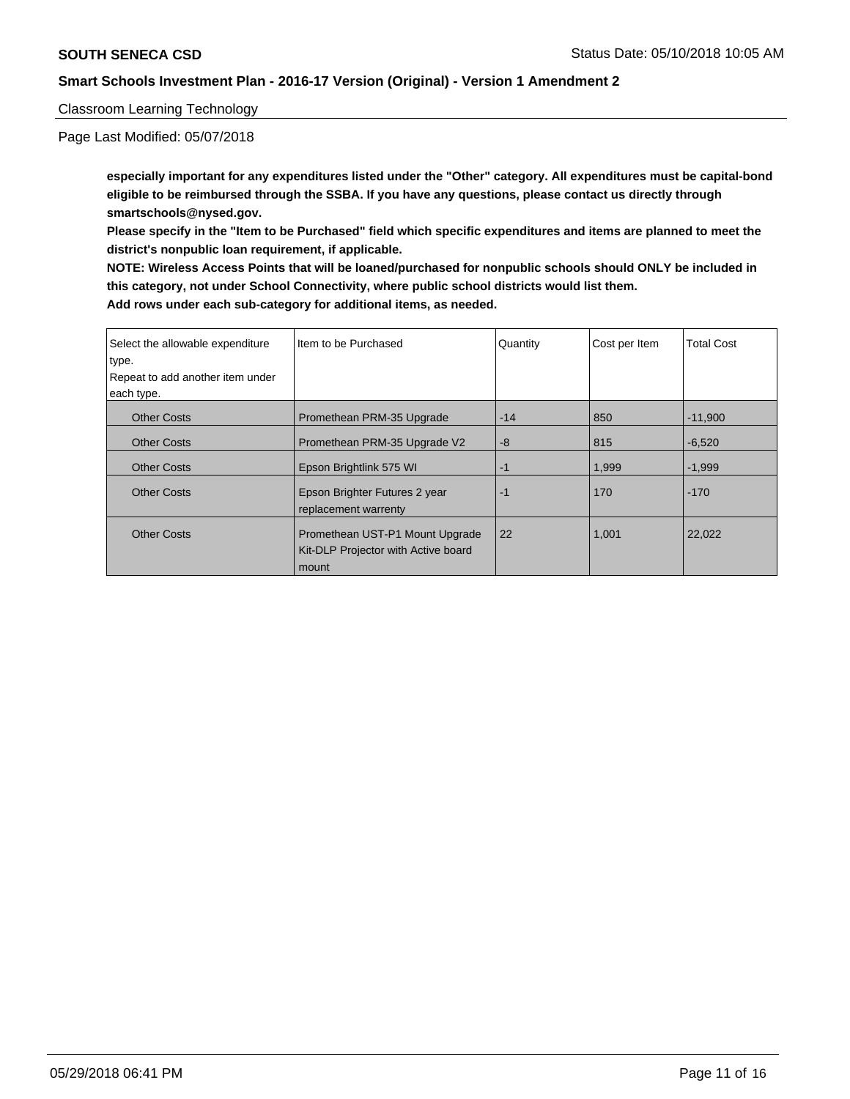Classroom Learning Technology

Page Last Modified: 05/07/2018

**especially important for any expenditures listed under the "Other" category. All expenditures must be capital-bond eligible to be reimbursed through the SSBA. If you have any questions, please contact us directly through smartschools@nysed.gov.**

**Please specify in the "Item to be Purchased" field which specific expenditures and items are planned to meet the district's nonpublic loan requirement, if applicable.**

**NOTE: Wireless Access Points that will be loaned/purchased for nonpublic schools should ONLY be included in this category, not under School Connectivity, where public school districts would list them.**

| Select the allowable expenditure | I Item to be Purchased                                                          | Quantity | Cost per Item | <b>Total Cost</b> |
|----------------------------------|---------------------------------------------------------------------------------|----------|---------------|-------------------|
| type.                            |                                                                                 |          |               |                   |
| Repeat to add another item under |                                                                                 |          |               |                   |
| each type.                       |                                                                                 |          |               |                   |
| <b>Other Costs</b>               | Promethean PRM-35 Upgrade                                                       | $-14$    | 850           | $-11,900$         |
| <b>Other Costs</b>               | Promethean PRM-35 Upgrade V2                                                    | $-8$     | 815           | $-6,520$          |
| <b>Other Costs</b>               | Epson Brightlink 575 WI                                                         | $-1$     | 1.999         | $-1.999$          |
| <b>Other Costs</b>               | Epson Brighter Futures 2 year<br>replacement warrenty                           | $-1$     | 170           | $-170$            |
| <b>Other Costs</b>               | Promethean UST-P1 Mount Upgrade<br>Kit-DLP Projector with Active board<br>mount | 22       | 1,001         | 22,022            |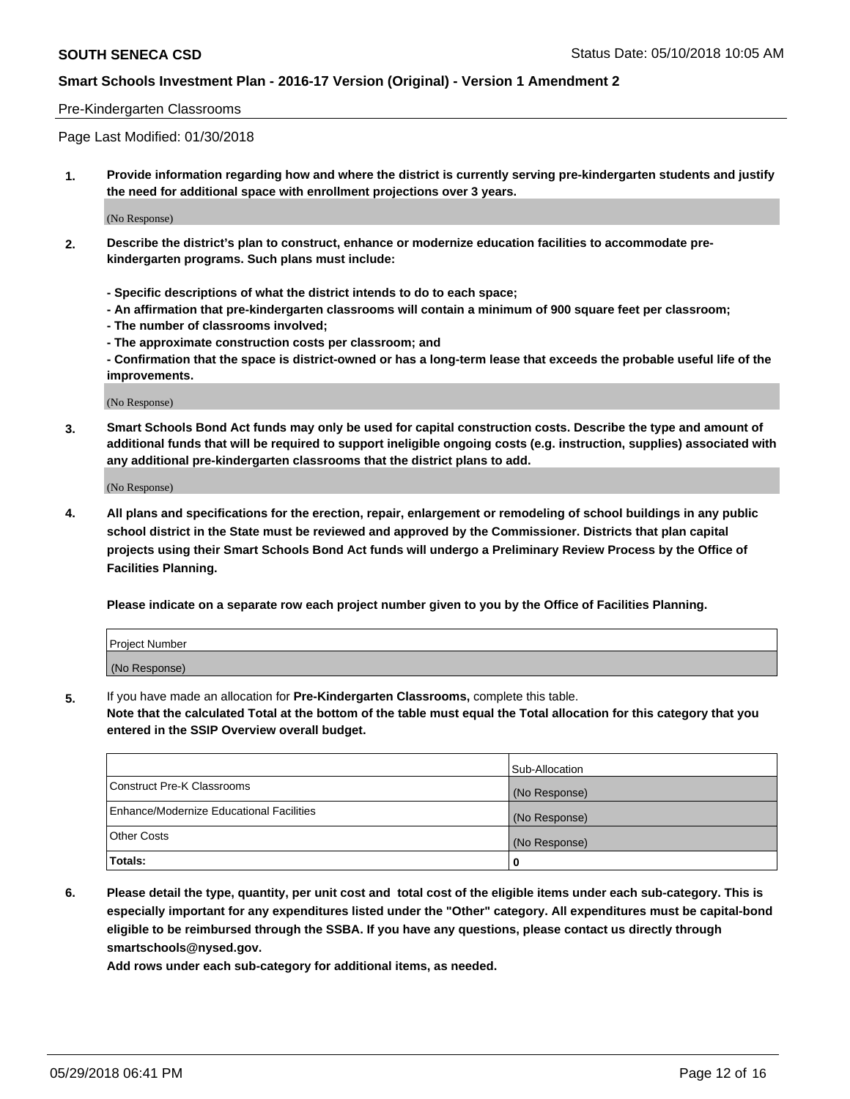#### Pre-Kindergarten Classrooms

Page Last Modified: 01/30/2018

**1. Provide information regarding how and where the district is currently serving pre-kindergarten students and justify the need for additional space with enrollment projections over 3 years.**

(No Response)

- **2. Describe the district's plan to construct, enhance or modernize education facilities to accommodate prekindergarten programs. Such plans must include:**
	- **Specific descriptions of what the district intends to do to each space;**
	- **An affirmation that pre-kindergarten classrooms will contain a minimum of 900 square feet per classroom;**
	- **The number of classrooms involved;**
	- **The approximate construction costs per classroom; and**
	- **Confirmation that the space is district-owned or has a long-term lease that exceeds the probable useful life of the improvements.**

(No Response)

**3. Smart Schools Bond Act funds may only be used for capital construction costs. Describe the type and amount of additional funds that will be required to support ineligible ongoing costs (e.g. instruction, supplies) associated with any additional pre-kindergarten classrooms that the district plans to add.**

(No Response)

**4. All plans and specifications for the erection, repair, enlargement or remodeling of school buildings in any public school district in the State must be reviewed and approved by the Commissioner. Districts that plan capital projects using their Smart Schools Bond Act funds will undergo a Preliminary Review Process by the Office of Facilities Planning.**

**Please indicate on a separate row each project number given to you by the Office of Facilities Planning.**

| <b>Project Number</b> |  |
|-----------------------|--|
| (No Response)         |  |

**5.** If you have made an allocation for **Pre-Kindergarten Classrooms,** complete this table.

**Note that the calculated Total at the bottom of the table must equal the Total allocation for this category that you entered in the SSIP Overview overall budget.**

|                                          | Sub-Allocation |
|------------------------------------------|----------------|
| Construct Pre-K Classrooms               | (No Response)  |
| Enhance/Modernize Educational Facilities | (No Response)  |
| Other Costs                              | (No Response)  |
| Totals:                                  | 0              |

**6. Please detail the type, quantity, per unit cost and total cost of the eligible items under each sub-category. This is especially important for any expenditures listed under the "Other" category. All expenditures must be capital-bond eligible to be reimbursed through the SSBA. If you have any questions, please contact us directly through smartschools@nysed.gov.**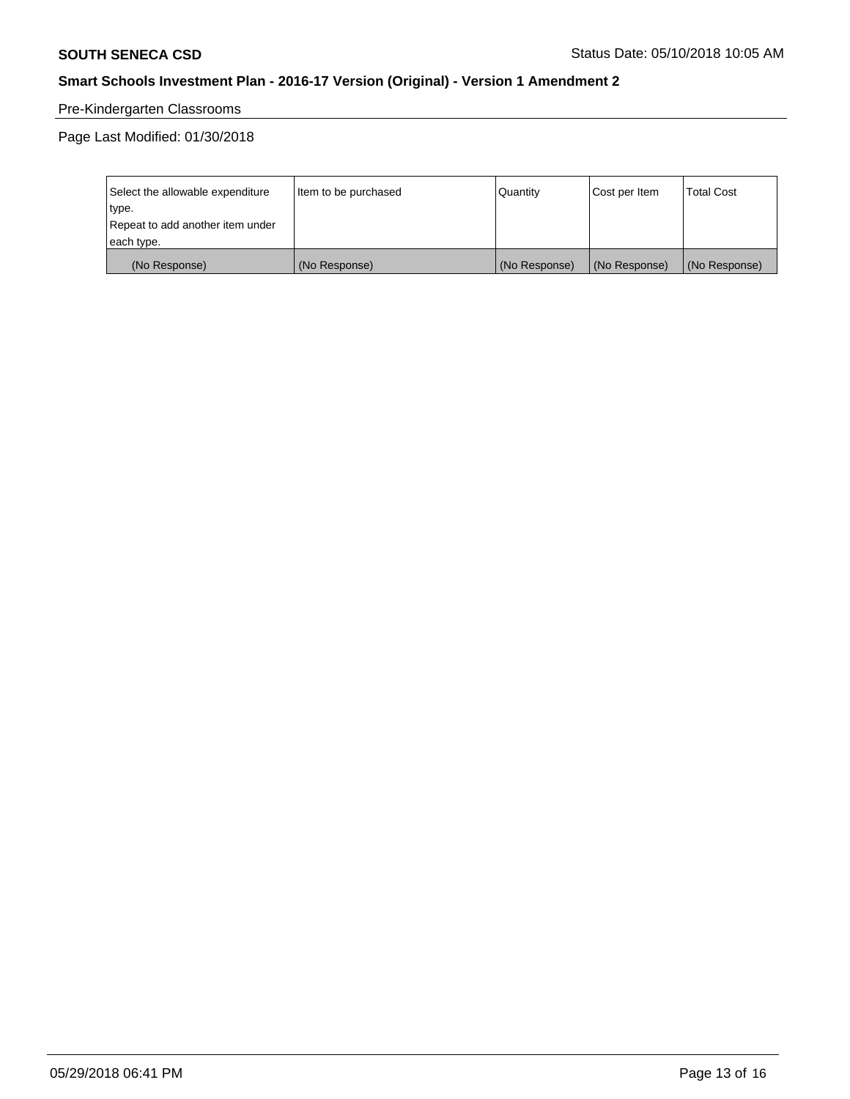# Pre-Kindergarten Classrooms

Page Last Modified: 01/30/2018

| Select the allowable expenditure | Item to be purchased | Quantity      | Cost per Item | <b>Total Cost</b> |
|----------------------------------|----------------------|---------------|---------------|-------------------|
| type.                            |                      |               |               |                   |
| Repeat to add another item under |                      |               |               |                   |
| each type.                       |                      |               |               |                   |
| (No Response)                    | (No Response)        | (No Response) | (No Response) | (No Response)     |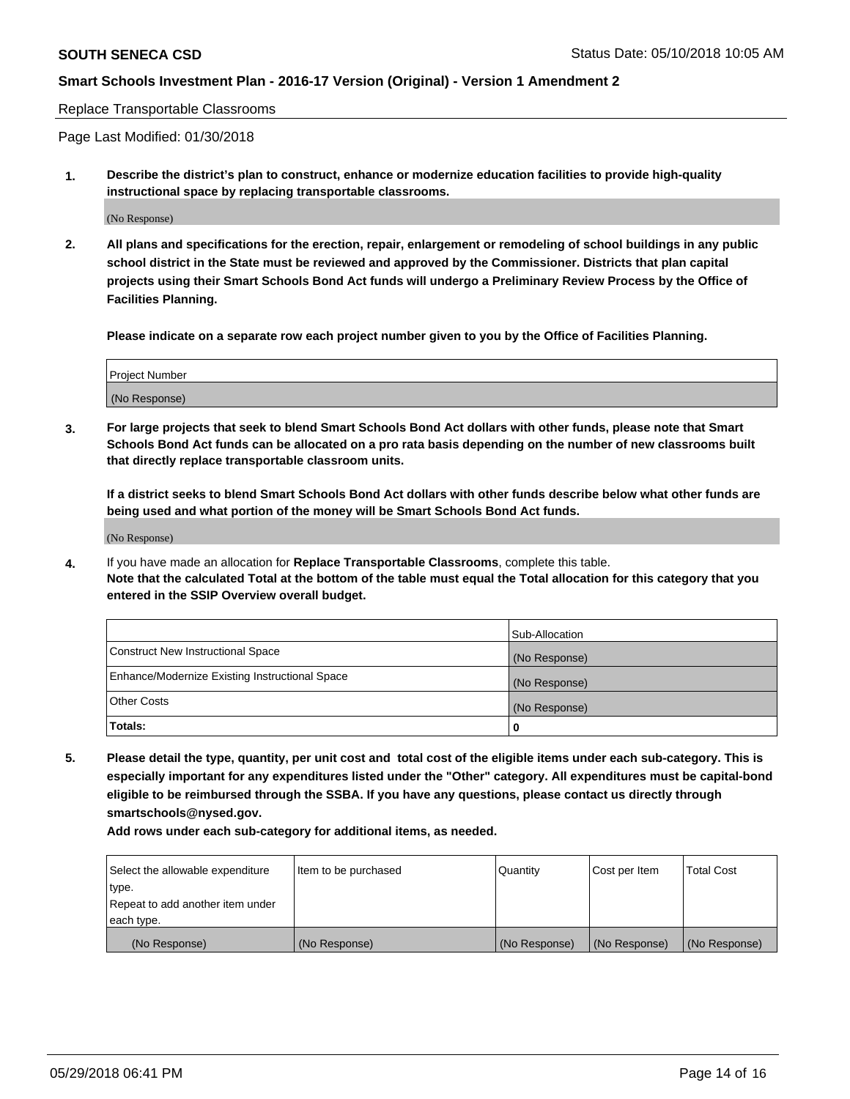Replace Transportable Classrooms

Page Last Modified: 01/30/2018

**1. Describe the district's plan to construct, enhance or modernize education facilities to provide high-quality instructional space by replacing transportable classrooms.**

(No Response)

**2. All plans and specifications for the erection, repair, enlargement or remodeling of school buildings in any public school district in the State must be reviewed and approved by the Commissioner. Districts that plan capital projects using their Smart Schools Bond Act funds will undergo a Preliminary Review Process by the Office of Facilities Planning.**

**Please indicate on a separate row each project number given to you by the Office of Facilities Planning.**

| Project Number |  |
|----------------|--|
| (No Response)  |  |

**3. For large projects that seek to blend Smart Schools Bond Act dollars with other funds, please note that Smart Schools Bond Act funds can be allocated on a pro rata basis depending on the number of new classrooms built that directly replace transportable classroom units.**

**If a district seeks to blend Smart Schools Bond Act dollars with other funds describe below what other funds are being used and what portion of the money will be Smart Schools Bond Act funds.**

(No Response)

**4.** If you have made an allocation for **Replace Transportable Classrooms**, complete this table. **Note that the calculated Total at the bottom of the table must equal the Total allocation for this category that you entered in the SSIP Overview overall budget.**

|                                                | Sub-Allocation |
|------------------------------------------------|----------------|
| Construct New Instructional Space              | (No Response)  |
| Enhance/Modernize Existing Instructional Space | (No Response)  |
| Other Costs                                    | (No Response)  |
| Totals:                                        | 0              |

**5. Please detail the type, quantity, per unit cost and total cost of the eligible items under each sub-category. This is especially important for any expenditures listed under the "Other" category. All expenditures must be capital-bond eligible to be reimbursed through the SSBA. If you have any questions, please contact us directly through smartschools@nysed.gov.**

| Select the allowable expenditure | Item to be purchased | Quantity      | Cost per Item | <b>Total Cost</b> |
|----------------------------------|----------------------|---------------|---------------|-------------------|
| type.                            |                      |               |               |                   |
| Repeat to add another item under |                      |               |               |                   |
| each type.                       |                      |               |               |                   |
| (No Response)                    | (No Response)        | (No Response) | (No Response) | (No Response)     |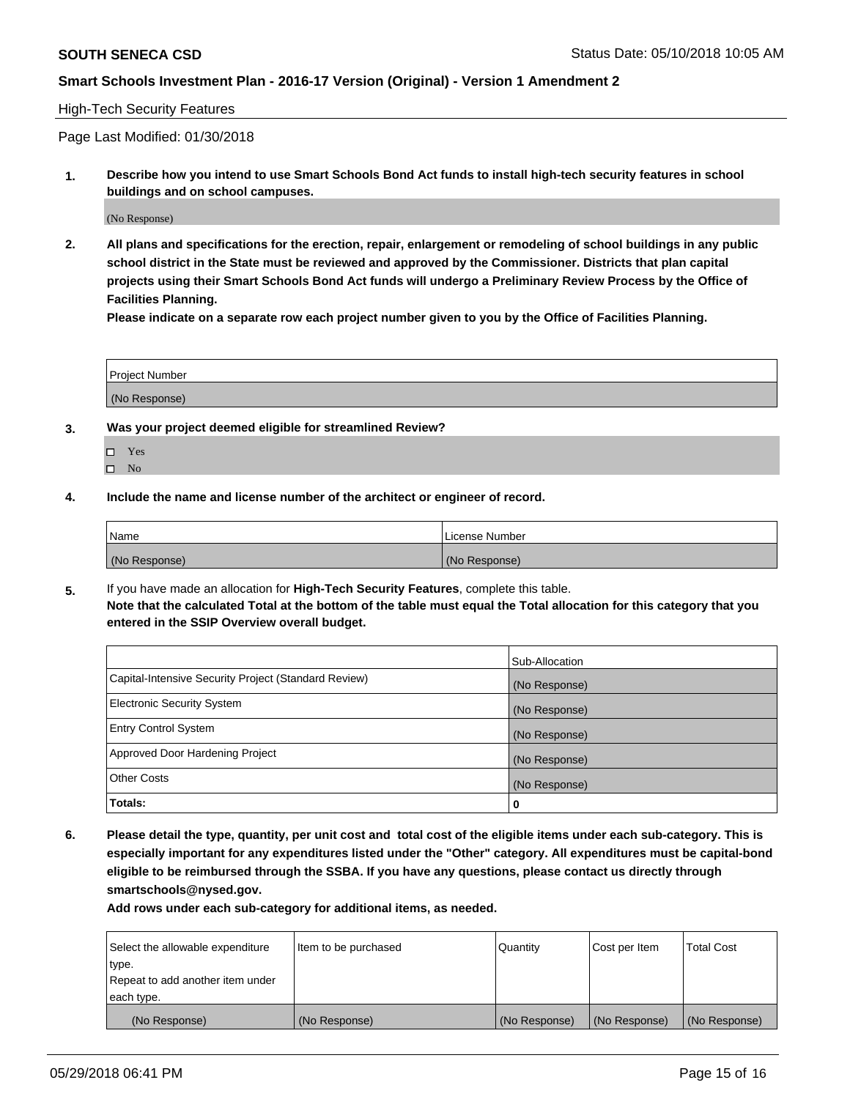### High-Tech Security Features

Page Last Modified: 01/30/2018

**1. Describe how you intend to use Smart Schools Bond Act funds to install high-tech security features in school buildings and on school campuses.**

(No Response)

**2. All plans and specifications for the erection, repair, enlargement or remodeling of school buildings in any public school district in the State must be reviewed and approved by the Commissioner. Districts that plan capital projects using their Smart Schools Bond Act funds will undergo a Preliminary Review Process by the Office of Facilities Planning.** 

**Please indicate on a separate row each project number given to you by the Office of Facilities Planning.**

| <b>Project Number</b> |  |  |
|-----------------------|--|--|
|                       |  |  |
| (No Response)         |  |  |

- **3. Was your project deemed eligible for streamlined Review?**
	- Yes  $\square$  No
- **4. Include the name and license number of the architect or engineer of record.**

| <i>Name</i>   | License Number |
|---------------|----------------|
| (No Response) | (No Response)  |

**5.** If you have made an allocation for **High-Tech Security Features**, complete this table. **Note that the calculated Total at the bottom of the table must equal the Total allocation for this category that you entered in the SSIP Overview overall budget.**

|                                                      | Sub-Allocation |
|------------------------------------------------------|----------------|
| Capital-Intensive Security Project (Standard Review) | (No Response)  |
| <b>Electronic Security System</b>                    | (No Response)  |
| <b>Entry Control System</b>                          | (No Response)  |
| Approved Door Hardening Project                      | (No Response)  |
| <b>Other Costs</b>                                   | (No Response)  |
| Totals:                                              | 0              |

**6. Please detail the type, quantity, per unit cost and total cost of the eligible items under each sub-category. This is especially important for any expenditures listed under the "Other" category. All expenditures must be capital-bond eligible to be reimbursed through the SSBA. If you have any questions, please contact us directly through smartschools@nysed.gov.**

| Select the allowable expenditure | Item to be purchased | Quantity      | Cost per Item | <b>Total Cost</b> |
|----------------------------------|----------------------|---------------|---------------|-------------------|
| type.                            |                      |               |               |                   |
| Repeat to add another item under |                      |               |               |                   |
| each type.                       |                      |               |               |                   |
| (No Response)                    | (No Response)        | (No Response) | (No Response) | (No Response)     |